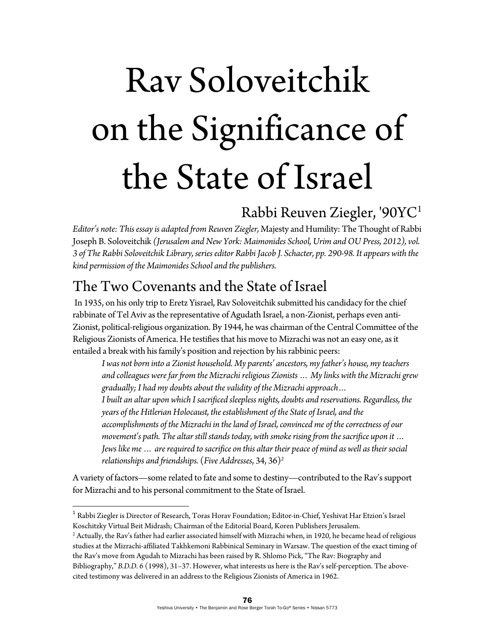# Rav Soloveitchik on the Significance of the State of Israel

## Rabbi Reuven Ziegler, '90YC1

*Editor's note: This essay is adapted from Reuven Ziegler,* Majesty and Humility: The Thought of Rabbi Joseph B. Soloveitchik *(Jerusalem and New York: Maimonides School, Urim and OU Press, 2012), vol. 3 of The Rabbi Soloveitchik Library, series editor Rabbi Jacob J. Schacter, pp. 290-98. It appears with the kind permission of the Maimonides School and the publishers.* 

## The Two Covenants and the State of Israel

 In 1935, on his only trip to Eretz Yisrael, Rav Soloveitchik submitted his candidacy for the chief rabbinate of Tel Aviv as the representative of Agudath Israel, a non-Zionist, perhaps even anti-Zionist, political-religious organization. By 1944, he was chairman of the Central Committee of the Religious Zionists of America. He testifies that his move to Mizrachi was not an easy one, as it entailed a break with his family's position and rejection by his rabbinic peers:

*I was not born into a Zionist household. My parents' ancestors, my father's house, my teachers and colleagues were far from the Mizrachi religious Zionists … My links with the Mizrachi grew gradually; I had my doubts about the validity of the Mizrachi approach… I built an altar upon which I sacrificed sleepless nights, doubts and reservations. Regardless, the years of the Hitlerian Holocaust, the establishment of the State of Israel, and the accomplishments of the Mizrachi in the land of Israel, convinced me of the correctness of our movement's path. The altar still stands today, with smoke rising from the sacrifice upon it … Jews like me … are required to sacrifice on this altar their peace of mind as well as their social relationships and friendships.* (*Five Addresses*, 34, 36)*<sup>2</sup>*

A variety of factors—some related to fate and some to destiny—contributed to the Rav's support for Mizrachi and to his personal commitment to the State of Israel.

<sup>1</sup> Rabbi Ziegler is Director of Research, Toras Horav Foundation; Editor-in-Chief, Yeshivat Har Etzion's Israel Koschitzky Virtual Beit Midrash; Chairman of the Editorial Board, Koren Publishers Jerusalem.

 $^2$  Actually, the Rav's father had earlier associated himself with Mizrachi when, in 1920, he became head of religious studies at the Mizrachi-affiliated Takhkemoni Rabbinical Seminary in Warsaw. The question of the exact timing of the Rav's move from Agudah to Mizrachi has been raised by R. Shlomo Pick, "The Rav: Biography and Bibliography," *B.D.D.* 6 (1998), 31–37. However, what interests us here is the Rav's self-perception. The abovecited testimony was delivered in an address to the Religious Zionists of America in 1962.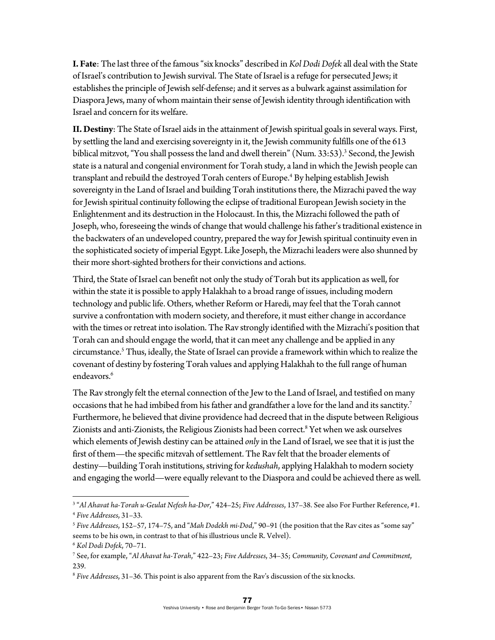**I. Fate**: The last three of the famous "six knocks" described in *Kol Dodi Dofek* all deal with the State of Israel's contribution to Jewish survival. The State of Israel is a refuge for persecuted Jews; it establishes the principle of Jewish self-defense; and it serves as a bulwark against assimilation for Diaspora Jews, many of whom maintain their sense of Jewish identity through identification with Israel and concern for its welfare.

**II. Destiny**: The State of Israel aids in the attainment of Jewish spiritual goals in several ways. First, by settling the land and exercising sovereignty in it, the Jewish community fulfills one of the 613 biblical mitzvot, "You shall possess the land and dwell therein" (Num*.* 33:53).3 Second, the Jewish state is a natural and congenial environment for Torah study, a land in which the Jewish people can transplant and rebuild the destroyed Torah centers of Europe.<sup>4</sup> By helping establish Jewish sovereignty in the Land of Israel and building Torah institutions there, the Mizrachi paved the way for Jewish spiritual continuity following the eclipse of traditional European Jewish society in the Enlightenment and its destruction in the Holocaust. In this, the Mizrachi followed the path of Joseph, who, foreseeing the winds of change that would challenge his father's traditional existence in the backwaters of an undeveloped country, prepared the way for Jewish spiritual continuity even in the sophisticated society of imperial Egypt. Like Joseph, the Mizrachi leaders were also shunned by their more short-sighted brothers for their convictions and actions.

Third, the State of Israel can benefit not only the study of Torah but its application as well, for within the state it is possible to apply Halakhah to a broad range of issues, including modern technology and public life. Others, whether Reform or Haredi, may feel that the Torah cannot survive a confrontation with modern society, and therefore, it must either change in accordance with the times or retreat into isolation. The Rav strongly identified with the Mizrachi's position that Torah can and should engage the world, that it can meet any challenge and be applied in any circumstance.5 Thus, ideally, the State of Israel can provide a framework within which to realize the covenant of destiny by fostering Torah values and applying Halakhah to the full range of human endeavors.<sup>6</sup>

The Rav strongly felt the eternal connection of the Jew to the Land of Israel, and testified on many occasions that he had imbibed from his father and grandfather a love for the land and its sanctity.7 Furthermore, he believed that divine providence had decreed that in the dispute between Religious Zionists and anti-Zionists, the Religious Zionists had been correct.<sup>8</sup> Yet when we ask ourselves which elements of Jewish destiny can be attained *only* in the Land of Israel, we see that it is just the first of them—the specific mitzvah of settlement. The Rav felt that the broader elements of destiny—building Torah institutions, striving for *kedushah*, applying Halakhah to modern society and engaging the world—were equally relevant to the Diaspora and could be achieved there as well.

<sup>&</sup>lt;sup>3</sup> "Al Ahavat ha-Torah u-Geulat Nefesh ha-Dor," 424–25; Five Addresses, 137–38. See also For Further Reference, #1.<br><sup>4</sup> Five Addresses, 31–33.<br><sup>5</sup> Five Addresses, 152–57, 174–75, and "Mah Dodekh mi-Dod," 90–91 (the positi

seems to be his own, in contrast to that of his illustrious uncle R. Velvel).  $^6$  *Kol Dodi Dofek*, 70–71.

See, for example, "*Al Ahavat ha-Torah*," 422–23; *Five Addresses*, 34–35; *Community, Covenant and Commitment*, 239.

<sup>8</sup> *Five Addresses*, 31–36. This point is also apparent from the Rav's discussion of the six knocks.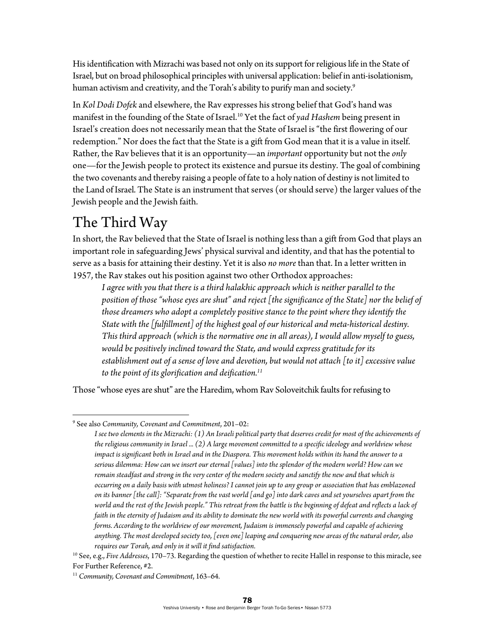His identification with Mizrachi was based not only on its support for religious life in the State of Israel, but on broad philosophical principles with universal application: belief in anti-isolationism, human activism and creativity, and the Torah's ability to purify man and society.<sup>9</sup>

In *Kol Dodi Dofek* and elsewhere, the Rav expresses his strong belief that God's hand was manifest in the founding of the State of Israel.10 Yet the fact of *yad Hashem* being present in Israel's creation does not necessarily mean that the State of Israel is "the first flowering of our redemption." Nor does the fact that the State is a gift from God mean that it is a value in itself. Rather, the Rav believes that it is an opportunity—an *important* opportunity but not the *only* one—for the Jewish people to protect its existence and pursue its destiny. The goal of combining the two covenants and thereby raising a people of fate to a holy nation of destiny is not limited to the Land of Israel. The State is an instrument that serves (or should serve) the larger values of the Jewish people and the Jewish faith.

#### The Third Way

In short, the Rav believed that the State of Israel is nothing less than a gift from God that plays an important role in safeguarding Jews' physical survival and identity, and that has the potential to serve as a basis for attaining their destiny. Yet it is also *no more* than that. In a letter written in 1957, the Rav stakes out his position against two other Orthodox approaches:

*I agree with you that there is a third halakhic approach which is neither parallel to the position of those "whose eyes are shut" and reject [the significance of the State] nor the belief of those dreamers who adopt a completely positive stance to the point where they identify the State with the [fulfillment] of the highest goal of our historical and meta-historical destiny. This third approach (which is the normative one in all areas), I would allow myself to guess, would be positively inclined toward the State, and would express gratitude for its establishment out of a sense of love and devotion, but would not attach [to it] excessive value to the point of its glorification and deification.11*

Those "whose eyes are shut" are the Haredim, whom Rav Soloveitchik faults for refusing to

 9 See also *Community, Covenant and Commitment*, 201–02:

*I see two elements in the Mizrachi: (1) An Israeli political party that deserves credit for most of the achievements of the religious community in Israel ... (2) A large movement committed to a specific ideology and worldview whose impact is significant both in Israel and in the Diaspora. This movement holds within its hand the answer to a serious dilemma: How can we insert our eternal [values] into the splendor of the modern world? How can we remain steadfast and strong in the very center of the modern society and sanctify the new and that which is occurring on a daily basis with utmost holiness? I cannot join up to any group or association that has emblazoned on its banner [the call]: "Separate from the vast world [and go] into dark caves and set yourselves apart from the*  world and the rest of the Jewish people." This retreat from the battle is the beginning of defeat and reflects a lack of *faith in the eternity of Judaism and its ability to dominate the new world with its powerful currents and changing forms. According to the worldview of our movement, Judaism is immensely powerful and capable of achieving anything. The most developed society too, [even one] leaping and conquering new areas of the natural order, also requires our Torah, and only in it will it find satisfaction.* 

<sup>10</sup> See, e.g., *Five Addresses*, 170–73. Regarding the question of whether to recite Hallel in response to this miracle, see For Further Reference, #2.

<sup>11</sup> *Community, Covenant and Commitment*, 163–64.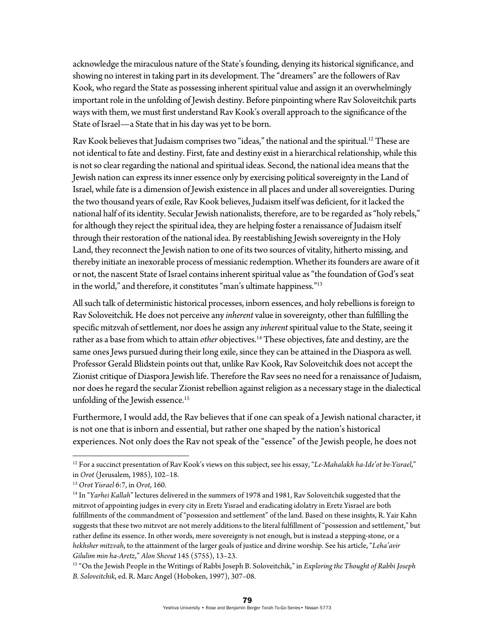acknowledge the miraculous nature of the State's founding, denying its historical significance, and showing no interest in taking part in its development. The "dreamers" are the followers of Rav Kook, who regard the State as possessing inherent spiritual value and assign it an overwhelmingly important role in the unfolding of Jewish destiny. Before pinpointing where Rav Soloveitchik parts ways with them, we must first understand Rav Kook's overall approach to the significance of the State of Israel—a State that in his day was yet to be born.

Rav Kook believes that Judaism comprises two "ideas," the national and the spiritual.<sup>12</sup> These are not identical to fate and destiny. First, fate and destiny exist in a hierarchical relationship, while this is not so clear regarding the national and spiritual ideas. Second, the national idea means that the Jewish nation can express its inner essence only by exercising political sovereignty in the Land of Israel, while fate is a dimension of Jewish existence in all places and under all sovereignties. During the two thousand years of exile, Rav Kook believes, Judaism itself was deficient, for it lacked the national half of its identity. Secular Jewish nationalists, therefore, are to be regarded as "holy rebels," for although they reject the spiritual idea, they are helping foster a renaissance of Judaism itself through their restoration of the national idea. By reestablishing Jewish sovereignty in the Holy Land, they reconnect the Jewish nation to one of its two sources of vitality, hitherto missing, and thereby initiate an inexorable process of messianic redemption. Whether its founders are aware of it or not, the nascent State of Israel contains inherent spiritual value as "the foundation of God's seat in the world," and therefore, it constitutes "man's ultimate happiness."13

All such talk of deterministic historical processes, inborn essences, and holy rebellions is foreign to Rav Soloveitchik. He does not perceive any *inherent* value in sovereignty, other than fulfilling the specific mitzvah of settlement, nor does he assign any *inherent* spiritual value to the State, seeing it rather as a base from which to attain *other* objectives.<sup>14</sup> These objectives, fate and destiny, are the same ones Jews pursued during their long exile, since they can be attained in the Diaspora as well. Professor Gerald Blidstein points out that, unlike Rav Kook, Rav Soloveitchik does not accept the Zionist critique of Diaspora Jewish life. Therefore the Rav sees no need for a renaissance of Judaism, nor does he regard the secular Zionist rebellion against religion as a necessary stage in the dialectical unfolding of the Jewish essence.<sup>15</sup>

Furthermore, I would add, the Rav believes that if one can speak of a Jewish national character, it is not one that is inborn and essential, but rather one shaped by the nation's historical experiences. Not only does the Rav not speak of the "essence" of the Jewish people, he does not

<sup>12</sup> For a succinct presentation of Rav Kook's views on this subject, see his essay, "*Le-Mahalakh ha-Ide'ot be-Yisrael*," in *Orot* (Jerusalem, 1985), 102–18. 13 *Orot Yisrael* 6:7, in *Orot*, 160. 14 In "*Yarhei Kallah*" lectures delivered in the summers of 1978 and 1981, Rav Soloveitchik suggested that the

mitzvot of appointing judges in every city in Eretz Yisrael and eradicating idolatry in Eretz Yisrael are both fulfillments of the commandment of "possession and settlement" of the land. Based on these insights, R. Yair Kahn suggests that these two mitzvot are not merely additions to the literal fulfillment of "possession and settlement," but rather define its essence. In other words, mere sovereignty is not enough, but is instead a stepping-stone, or a *hekhsher mitzvah*, to the attainment of the larger goals of justice and divine worship. See his article, "*Leha'avir Gilulim min ha-Aretz*," *Alon Shevut* 145 (5755), 13–23. 15 "On the Jewish People in the Writings of Rabbi Joseph B. Soloveitchik," in *Exploring the Thought of Rabbi Joseph* 

*B. Soloveitchik*, ed. R. Marc Angel (Hoboken, 1997), 307–08.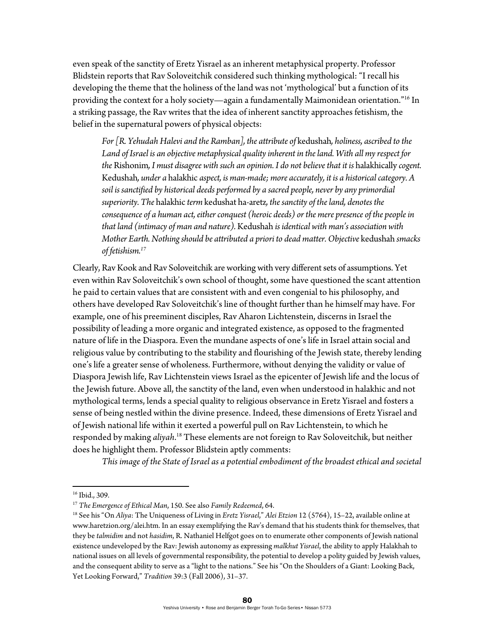even speak of the sanctity of Eretz Yisrael as an inherent metaphysical property. Professor Blidstein reports that Rav Soloveitchik considered such thinking mythological: "I recall his developing the theme that the holiness of the land was not 'mythological' but a function of its providing the context for a holy society—again a fundamentally Maimonidean orientation."<sup>16</sup> In a striking passage, the Rav writes that the idea of inherent sanctity approaches fetishism, the belief in the supernatural powers of physical objects:

*For [R. Yehudah Halevi and the Ramban], the attribute of* kedushah*, holiness, ascribed to the Land of Israel is an objective metaphysical quality inherent in the land. With all my respect for the* Rishonim, *I must disagree with such an opinion. I do not believe that it is halakhically <i>cogent.* Kedushah*, under a* halakhic *aspect, is man-made; more accurately, it is a historical category. A soil is sanctified by historical deeds performed by a sacred people, never by any primordial superiority. The* halakhic *term* kedushat ha-aretz*, the sanctity of the land, denotes the consequence of a human act, either conquest (heroic deeds) or the mere presence of the people in that land (intimacy of man and nature).* Kedushah *is identical with man's association with Mother Earth. Nothing should be attributed a priori to dead matter. Objective* kedushah *smacks of fetishism.17* 

Clearly, Rav Kook and Rav Soloveitchik are working with very different sets of assumptions. Yet even within Rav Soloveitchik's own school of thought, some have questioned the scant attention he paid to certain values that are consistent with and even congenial to his philosophy, and others have developed Rav Soloveitchik's line of thought further than he himself may have. For example, one of his preeminent disciples, Rav Aharon Lichtenstein, discerns in Israel the possibility of leading a more organic and integrated existence, as opposed to the fragmented nature of life in the Diaspora. Even the mundane aspects of one's life in Israel attain social and religious value by contributing to the stability and flourishing of the Jewish state, thereby lending one's life a greater sense of wholeness. Furthermore, without denying the validity or value of Diaspora Jewish life, Rav Lichtenstein views Israel as the epicenter of Jewish life and the locus of the Jewish future. Above all, the sanctity of the land, even when understood in halakhic and not mythological terms, lends a special quality to religious observance in Eretz Yisrael and fosters a sense of being nestled within the divine presence. Indeed, these dimensions of Eretz Yisrael and of Jewish national life within it exerted a powerful pull on Rav Lichtenstein, to which he responded by making *aliyah*. 18 These elements are not foreign to Rav Soloveitchik, but neither does he highlight them. Professor Blidstein aptly comments:

*This image of the State of Israel as a potential embodiment of the broadest ethical and societal* 

<sup>16</sup> Ibid., 309.

<sup>&</sup>lt;sup>17</sup> The Emergence of Ethical Man, 150. See also Family Redeemed, 64.<br><sup>18</sup> See his "On *Aliya*: The Uniqueness of Living in *Eretz Yisrael," Alei Etzion 12* (5764), 15–22, available online at www.haretzion.org/alei.htm. In an essay exemplifying the Rav's demand that his students think for themselves, that they be *talmidim* and not *hasidim*, R. Nathaniel Helfgot goes on to enumerate other components of Jewish national existence undeveloped by the Rav: Jewish autonomy as expressing *malkhut Yisrael*, the ability to apply Halakhah to national issues on all levels of governmental responsibility, the potential to develop a polity guided by Jewish values, and the consequent ability to serve as a "light to the nations." See his "On the Shoulders of a Giant: Looking Back, Yet Looking Forward," *Tradition* 39:3 (Fall 2006), 31–37.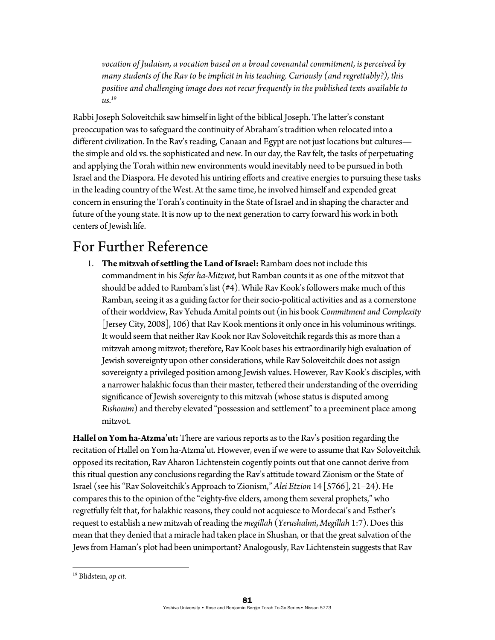*vocation of Judaism, a vocation based on a broad covenantal commitment, is perceived by many students of the Rav to be implicit in his teaching. Curiously (and regrettably?), this positive and challenging image does not recur frequently in the published texts available to us.19*

Rabbi Joseph Soloveitchik saw himself in light of the biblical Joseph. The latter's constant preoccupation was to safeguard the continuity of Abraham's tradition when relocated into a different civilization. In the Rav's reading, Canaan and Egypt are not just locations but cultures the simple and old vs. the sophisticated and new. In our day, the Rav felt, the tasks of perpetuating and applying the Torah within new environments would inevitably need to be pursued in both Israel and the Diaspora. He devoted his untiring efforts and creative energies to pursuing these tasks in the leading country of the West. At the same time, he involved himself and expended great concern in ensuring the Torah's continuity in the State of Israel and in shaping the character and future of the young state. It is now up to the next generation to carry forward his work in both centers of Jewish life.

#### For Further Reference

1. **The mitzvah of settling the Land of Israel:** Rambam does not include this commandment in his *Sefer ha-Mitzvot*, but Ramban counts it as one of the mitzvot that should be added to Rambam's list (#4). While Rav Kook's followers make much of this Ramban, seeing it as a guiding factor for their socio-political activities and as a cornerstone of their worldview, Rav Yehuda Amital points out (in his book *Commitment and Complexity*  [Jersey City, 2008], 106) that Rav Kook mentions it only once in his voluminous writings. It would seem that neither Rav Kook nor Rav Soloveitchik regards this as more than a mitzvah among mitzvot; therefore, Rav Kook bases his extraordinarily high evaluation of Jewish sovereignty upon other considerations, while Rav Soloveitchik does not assign sovereignty a privileged position among Jewish values. However, Rav Kook's disciples, with a narrower halakhic focus than their master, tethered their understanding of the overriding significance of Jewish sovereignty to this mitzvah (whose status is disputed among *Rishonim*) and thereby elevated "possession and settlement" to a preeminent place among mitzvot.

**Hallel on Yom ha***-***Atzma'ut:** There are various reports as to the Rav's position regarding the recitation of Hallel on Yom ha-Atzma'ut. However, even if we were to assume that Rav Soloveitchik opposed its recitation, Rav Aharon Lichtenstein cogently points out that one cannot derive from this ritual question any conclusions regarding the Rav's attitude toward Zionism or the State of Israel (see his "Rav Soloveitchik's Approach to Zionism," *Alei Etzion* 14 [5766], 21–24). He compares this to the opinion of the "eighty-five elders, among them several prophets," who regretfully felt that, for halakhic reasons, they could not acquiesce to Mordecai's and Esther's request to establish a new mitzvah of reading the *megillah* (*Yerushalmi*, *Megillah* 1:7). Does this mean that they denied that a miracle had taken place in Shushan, or that the great salvation of the Jews from Haman's plot had been unimportant? Analogously, Rav Lichtenstein suggests that Rav

<sup>19</sup> Blidstein, *op cit*.